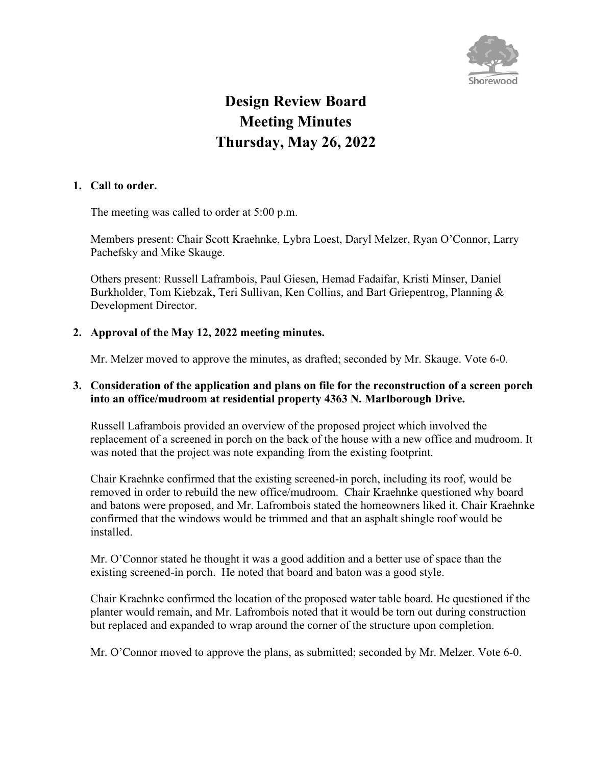

# **Design Review Board Meeting Minutes Thursday, May 26, 2022**

## **1. Call to order.**

The meeting was called to order at 5:00 p.m.

Members present: Chair Scott Kraehnke, Lybra Loest, Daryl Melzer, Ryan O'Connor, Larry Pachefsky and Mike Skauge.

Others present: Russell Laframbois, Paul Giesen, Hemad Fadaifar, Kristi Minser, Daniel Burkholder, Tom Kiebzak, Teri Sullivan, Ken Collins, and Bart Griepentrog, Planning & Development Director.

# **2. Approval of the May 12, 2022 meeting minutes.**

Mr. Melzer moved to approve the minutes, as drafted; seconded by Mr. Skauge. Vote 6-0.

## **3. Consideration of the application and plans on file for the reconstruction of a screen porch into an office/mudroom at residential property 4363 N. Marlborough Drive.**

Russell Laframbois provided an overview of the proposed project which involved the replacement of a screened in porch on the back of the house with a new office and mudroom. It was noted that the project was note expanding from the existing footprint.

Chair Kraehnke confirmed that the existing screened-in porch, including its roof, would be removed in order to rebuild the new office/mudroom. Chair Kraehnke questioned why board and batons were proposed, and Mr. Lafrombois stated the homeowners liked it. Chair Kraehnke confirmed that the windows would be trimmed and that an asphalt shingle roof would be installed.

Mr. O'Connor stated he thought it was a good addition and a better use of space than the existing screened-in porch. He noted that board and baton was a good style.

Chair Kraehnke confirmed the location of the proposed water table board. He questioned if the planter would remain, and Mr. Lafrombois noted that it would be torn out during construction but replaced and expanded to wrap around the corner of the structure upon completion.

Mr. O'Connor moved to approve the plans, as submitted; seconded by Mr. Melzer. Vote 6-0.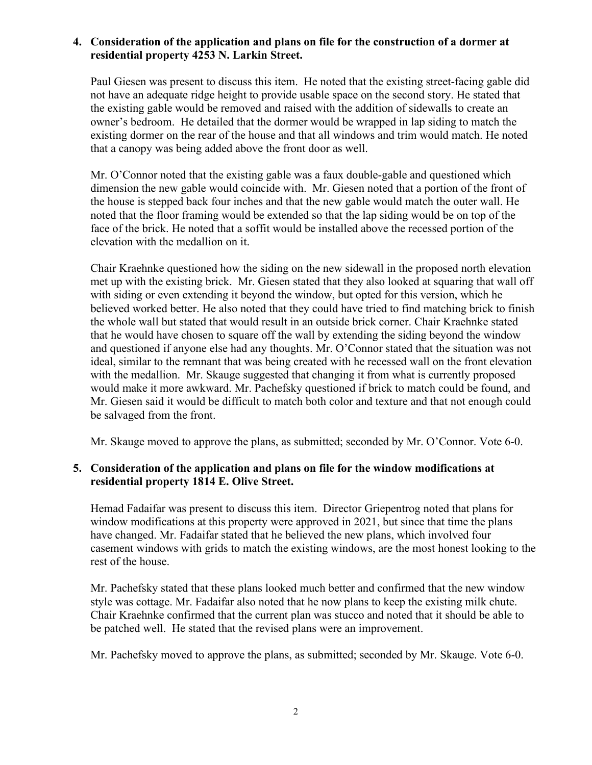## **4. Consideration of the application and plans on file for the construction of a dormer at residential property 4253 N. Larkin Street.**

Paul Giesen was present to discuss this item. He noted that the existing street-facing gable did not have an adequate ridge height to provide usable space on the second story. He stated that the existing gable would be removed and raised with the addition of sidewalls to create an owner's bedroom. He detailed that the dormer would be wrapped in lap siding to match the existing dormer on the rear of the house and that all windows and trim would match. He noted that a canopy was being added above the front door as well.

Mr. O'Connor noted that the existing gable was a faux double-gable and questioned which dimension the new gable would coincide with. Mr. Giesen noted that a portion of the front of the house is stepped back four inches and that the new gable would match the outer wall. He noted that the floor framing would be extended so that the lap siding would be on top of the face of the brick. He noted that a soffit would be installed above the recessed portion of the elevation with the medallion on it.

Chair Kraehnke questioned how the siding on the new sidewall in the proposed north elevation met up with the existing brick. Mr. Giesen stated that they also looked at squaring that wall off with siding or even extending it beyond the window, but opted for this version, which he believed worked better. He also noted that they could have tried to find matching brick to finish the whole wall but stated that would result in an outside brick corner. Chair Kraehnke stated that he would have chosen to square off the wall by extending the siding beyond the window and questioned if anyone else had any thoughts. Mr. O'Connor stated that the situation was not ideal, similar to the remnant that was being created with he recessed wall on the front elevation with the medallion. Mr. Skauge suggested that changing it from what is currently proposed would make it more awkward. Mr. Pachefsky questioned if brick to match could be found, and Mr. Giesen said it would be difficult to match both color and texture and that not enough could be salvaged from the front.

Mr. Skauge moved to approve the plans, as submitted; seconded by Mr. O'Connor. Vote 6-0.

## **5. Consideration of the application and plans on file for the window modifications at residential property 1814 E. Olive Street.**

Hemad Fadaifar was present to discuss this item. Director Griepentrog noted that plans for window modifications at this property were approved in 2021, but since that time the plans have changed. Mr. Fadaifar stated that he believed the new plans, which involved four casement windows with grids to match the existing windows, are the most honest looking to the rest of the house.

Mr. Pachefsky stated that these plans looked much better and confirmed that the new window style was cottage. Mr. Fadaifar also noted that he now plans to keep the existing milk chute. Chair Kraehnke confirmed that the current plan was stucco and noted that it should be able to be patched well. He stated that the revised plans were an improvement.

Mr. Pachefsky moved to approve the plans, as submitted; seconded by Mr. Skauge. Vote 6-0.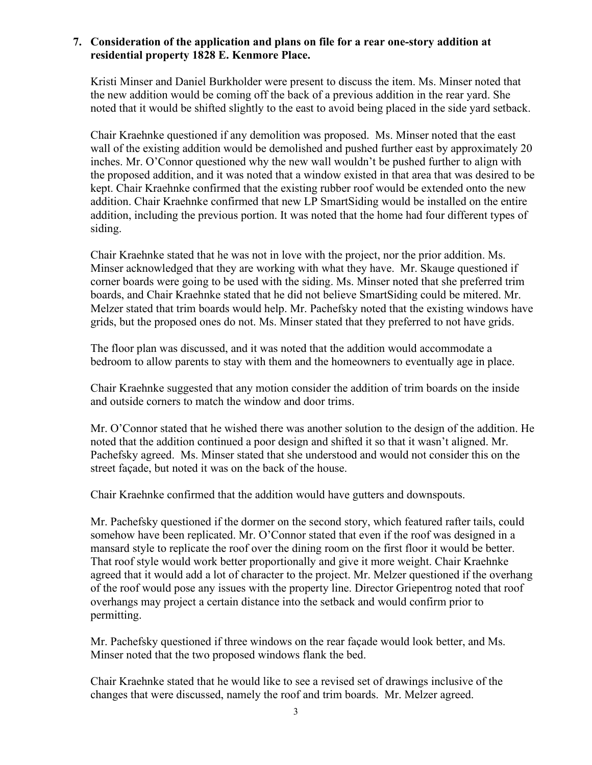## **7. Consideration of the application and plans on file for a rear one-story addition at residential property 1828 E. Kenmore Place.**

Kristi Minser and Daniel Burkholder were present to discuss the item. Ms. Minser noted that the new addition would be coming off the back of a previous addition in the rear yard. She noted that it would be shifted slightly to the east to avoid being placed in the side yard setback.

Chair Kraehnke questioned if any demolition was proposed. Ms. Minser noted that the east wall of the existing addition would be demolished and pushed further east by approximately 20 inches. Mr. O'Connor questioned why the new wall wouldn't be pushed further to align with the proposed addition, and it was noted that a window existed in that area that was desired to be kept. Chair Kraehnke confirmed that the existing rubber roof would be extended onto the new addition. Chair Kraehnke confirmed that new LP SmartSiding would be installed on the entire addition, including the previous portion. It was noted that the home had four different types of siding.

Chair Kraehnke stated that he was not in love with the project, nor the prior addition. Ms. Minser acknowledged that they are working with what they have. Mr. Skauge questioned if corner boards were going to be used with the siding. Ms. Minser noted that she preferred trim boards, and Chair Kraehnke stated that he did not believe SmartSiding could be mitered. Mr. Melzer stated that trim boards would help. Mr. Pachefsky noted that the existing windows have grids, but the proposed ones do not. Ms. Minser stated that they preferred to not have grids.

The floor plan was discussed, and it was noted that the addition would accommodate a bedroom to allow parents to stay with them and the homeowners to eventually age in place.

Chair Kraehnke suggested that any motion consider the addition of trim boards on the inside and outside corners to match the window and door trims.

Mr. O'Connor stated that he wished there was another solution to the design of the addition. He noted that the addition continued a poor design and shifted it so that it wasn't aligned. Mr. Pachefsky agreed. Ms. Minser stated that she understood and would not consider this on the street façade, but noted it was on the back of the house.

Chair Kraehnke confirmed that the addition would have gutters and downspouts.

Mr. Pachefsky questioned if the dormer on the second story, which featured rafter tails, could somehow have been replicated. Mr. O'Connor stated that even if the roof was designed in a mansard style to replicate the roof over the dining room on the first floor it would be better. That roof style would work better proportionally and give it more weight. Chair Kraehnke agreed that it would add a lot of character to the project. Mr. Melzer questioned if the overhang of the roof would pose any issues with the property line. Director Griepentrog noted that roof overhangs may project a certain distance into the setback and would confirm prior to permitting.

Mr. Pachefsky questioned if three windows on the rear façade would look better, and Ms. Minser noted that the two proposed windows flank the bed.

Chair Kraehnke stated that he would like to see a revised set of drawings inclusive of the changes that were discussed, namely the roof and trim boards. Mr. Melzer agreed.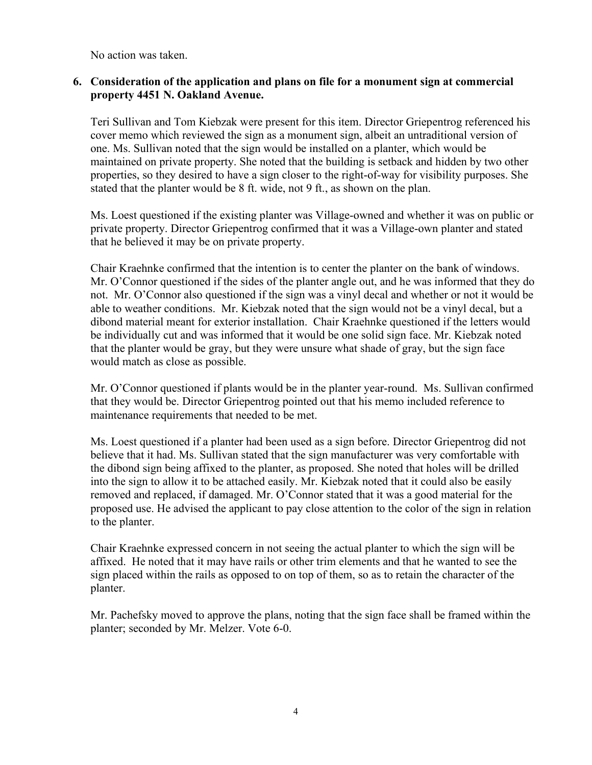No action was taken.

## **6. Consideration of the application and plans on file for a monument sign at commercial property 4451 N. Oakland Avenue.**

Teri Sullivan and Tom Kiebzak were present for this item. Director Griepentrog referenced his cover memo which reviewed the sign as a monument sign, albeit an untraditional version of one. Ms. Sullivan noted that the sign would be installed on a planter, which would be maintained on private property. She noted that the building is setback and hidden by two other properties, so they desired to have a sign closer to the right-of-way for visibility purposes. She stated that the planter would be 8 ft. wide, not 9 ft., as shown on the plan.

Ms. Loest questioned if the existing planter was Village-owned and whether it was on public or private property. Director Griepentrog confirmed that it was a Village-own planter and stated that he believed it may be on private property.

Chair Kraehnke confirmed that the intention is to center the planter on the bank of windows. Mr. O'Connor questioned if the sides of the planter angle out, and he was informed that they do not. Mr. O'Connor also questioned if the sign was a vinyl decal and whether or not it would be able to weather conditions. Mr. Kiebzak noted that the sign would not be a vinyl decal, but a dibond material meant for exterior installation. Chair Kraehnke questioned if the letters would be individually cut and was informed that it would be one solid sign face. Mr. Kiebzak noted that the planter would be gray, but they were unsure what shade of gray, but the sign face would match as close as possible.

Mr. O'Connor questioned if plants would be in the planter year-round. Ms. Sullivan confirmed that they would be. Director Griepentrog pointed out that his memo included reference to maintenance requirements that needed to be met.

Ms. Loest questioned if a planter had been used as a sign before. Director Griepentrog did not believe that it had. Ms. Sullivan stated that the sign manufacturer was very comfortable with the dibond sign being affixed to the planter, as proposed. She noted that holes will be drilled into the sign to allow it to be attached easily. Mr. Kiebzak noted that it could also be easily removed and replaced, if damaged. Mr. O'Connor stated that it was a good material for the proposed use. He advised the applicant to pay close attention to the color of the sign in relation to the planter.

Chair Kraehnke expressed concern in not seeing the actual planter to which the sign will be affixed. He noted that it may have rails or other trim elements and that he wanted to see the sign placed within the rails as opposed to on top of them, so as to retain the character of the planter.

Mr. Pachefsky moved to approve the plans, noting that the sign face shall be framed within the planter; seconded by Mr. Melzer. Vote 6-0.